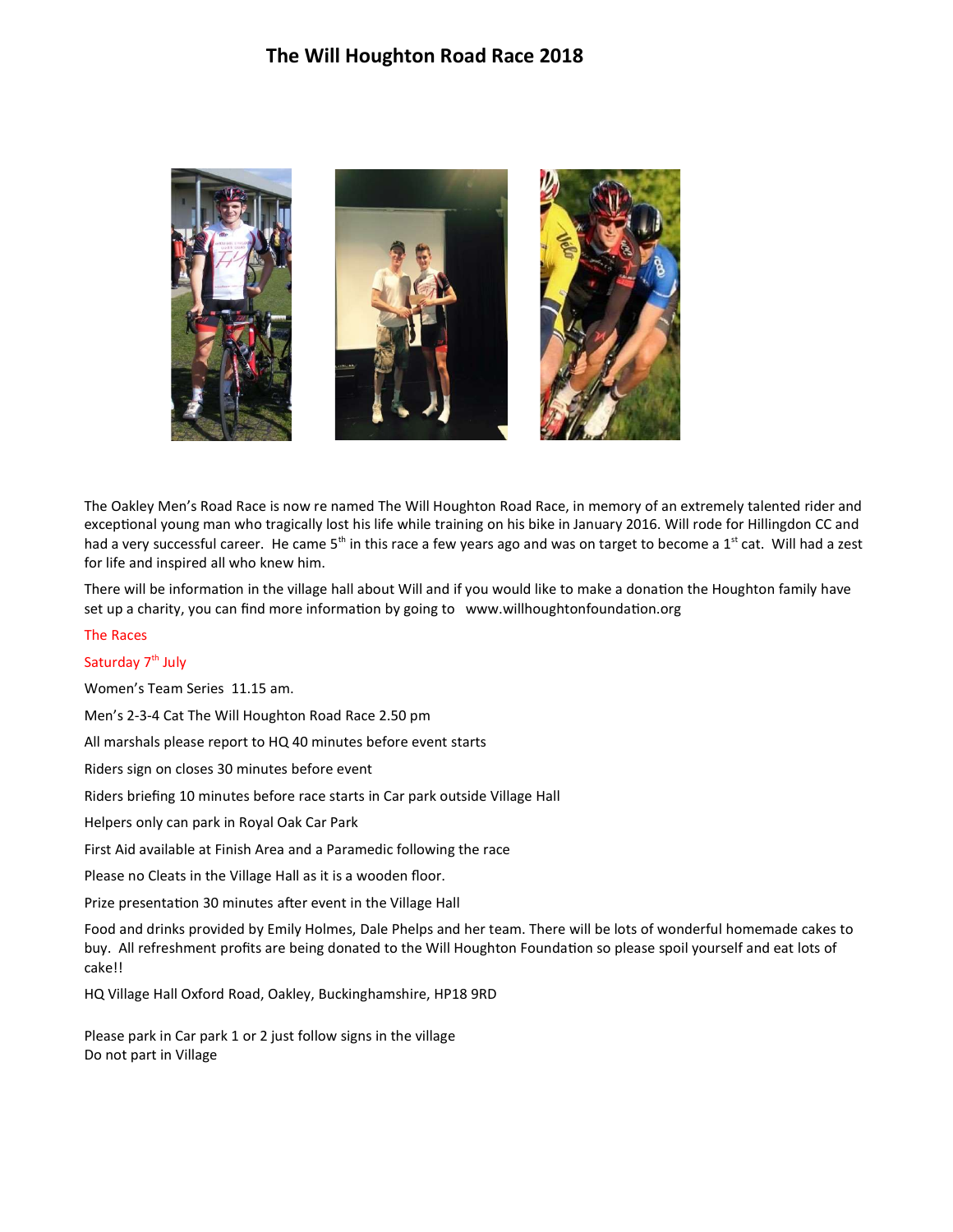

The Oakley Men's Road Race is now re named The Will Houghton Road Race, in memory of an extremely talented rider and exceptional young man who tragically lost his life while training on his bike in January 2016. Will rode for Hillingdon CC and had a very successful career. He came  $5<sup>th</sup>$  in this race a few years ago and was on target to become a 1<sup>st</sup> cat. Will had a zest for life and inspired all who knew him.

There will be information in the village hall about Will and if you would like to make a donation the Houghton family have set up a charity, you can find more information by going to www.willhoughtonfoundation.org

## The Races

# Saturday 7<sup>th</sup> July

Women's Team Series 11.15 am.

Men's 2-3-4 Cat The Will Houghton Road Race 2.50 pm

All marshals please report to HQ 40 minutes before event starts

Riders sign on closes 30 minutes before event

Riders briefing 10 minutes before race starts in Car park outside Village Hall

Helpers only can park in Royal Oak Car Park

First Aid available at Finish Area and a Paramedic following the race

Please no Cleats in the Village Hall as it is a wooden floor.

Prize presentation 30 minutes after event in the Village Hall

Food and drinks provided by Emily Holmes, Dale Phelps and her team. There will be lots of wonderful homemade cakes to buy. All refreshment profits are being donated to the Will Houghton Foundation so please spoil yourself and eat lots of cake!!

HQ Village Hall Oxford Road, Oakley, Buckinghamshire, HP18 9RD

Please park in Car park 1 or 2 just follow signs in the village Do not part in Village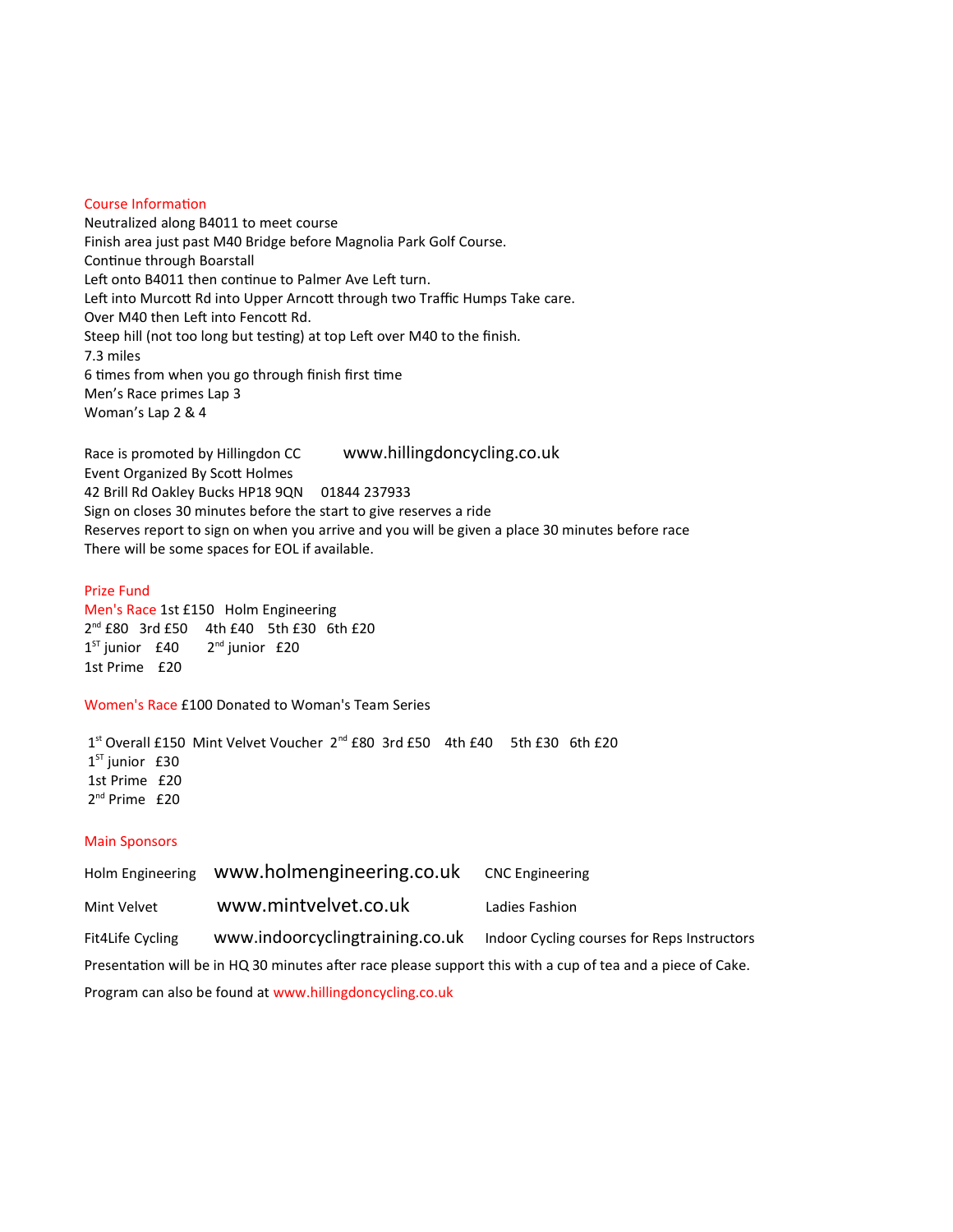### Course Information

Neutralized along B4011 to meet course Finish area just past M40 Bridge before Magnolia Park Golf Course. Continue through Boarstall Left onto B4011 then continue to Palmer Ave Left turn. Left into Murcott Rd into Upper Arncott through two Traffic Humps Take care. Over M40 then Left into Fencott Rd. Steep hill (not too long but testing) at top Left over M40 to the finish. 7.3 miles 6 times from when you go through finish first time Men's Race primes Lap 3 Woman's Lap 2 & 4

Race is promoted by Hillingdon CC www.hillingdoncycling.co.uk Event Organized By ScoƩ Holmes 42 Brill Rd Oakley Bucks HP18 9QN 01844 237933 Sign on closes 30 minutes before the start to give reserves a ride Reserves report to sign on when you arrive and you will be given a place 30 minutes before race There will be some spaces for EOL if available.

### Prize Fund

Men's Race 1st £150 Holm Engineering 2<sup>nd</sup> £80 3rd £50 4th £40 5th £30 6th £20  $1^{ST}$  junior £40  $2<sup>nd</sup>$  junior  $£20$ 1st Prime £20

Women's Race £100 Donated to Woman's Team Series

1<sup>st</sup> Overall £150 Mint Velvet Voucher 2<sup>nd</sup> £80 3rd £50 4th £40 5th £30 6th £20  $1<sup>ST</sup>$  junior £30 1st Prime £20 2nd Prime £20

#### Main Sponsors

| <b>Holm Engineering</b>                                                                                     | www.holmengineering.co.uk       | <b>CNC Engineering</b>                      |
|-------------------------------------------------------------------------------------------------------------|---------------------------------|---------------------------------------------|
| Mint Velvet                                                                                                 | www.mintvelvet.co.uk            | Ladies Fashion                              |
| Fit4Life Cycling                                                                                            | www.indoorcyclingtraining.co.uk | Indoor Cycling courses for Reps Instructors |
| Presentation will be in HQ 30 minutes after race please support this with a cup of tea and a piece of Cake. |                                 |                                             |
|                                                                                                             |                                 |                                             |

Program can also be found at www.hillingdoncycling.co.uk